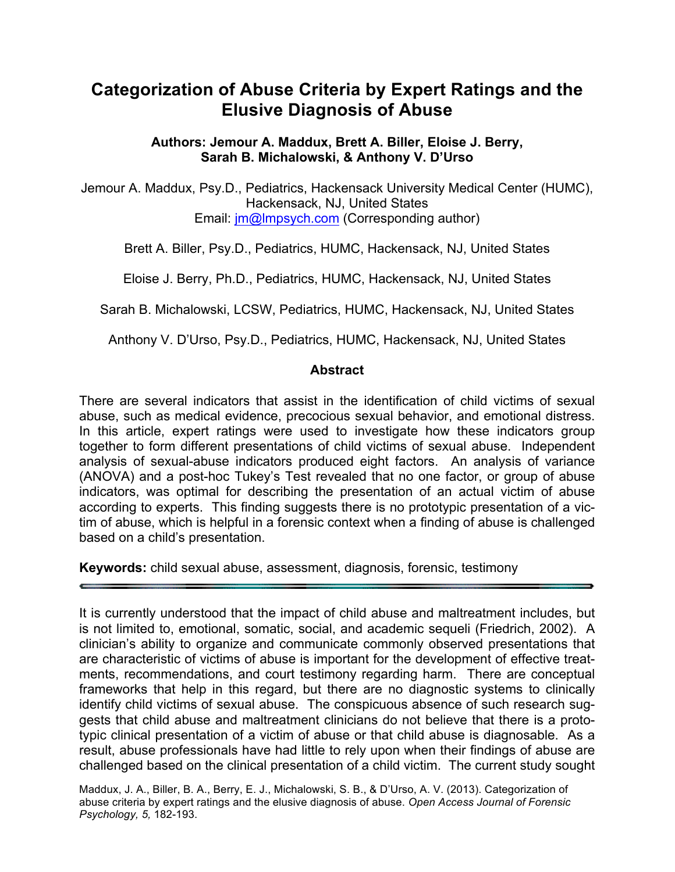# **Categorization of Abuse Criteria by Expert Ratings and the Elusive Diagnosis of Abuse**

**Authors: Jemour A. Maddux, Brett A. Biller, Eloise J. Berry, Sarah B. Michalowski, & Anthony V. D'Urso**

Jemour A. Maddux, Psy.D., Pediatrics, Hackensack University Medical Center (HUMC), Hackensack, NJ, United States Email: [jm@lmpsych.com](mailto:jm@lmpsych.com) (Corresponding author)

Brett A. Biller, Psy.D., Pediatrics, HUMC, Hackensack, NJ, United States

Eloise J. Berry, Ph.D., Pediatrics, HUMC, Hackensack, NJ, United States

Sarah B. Michalowski, LCSW, Pediatrics, HUMC, Hackensack, NJ, United States

Anthony V. D'Urso, Psy.D., Pediatrics, HUMC, Hackensack, NJ, United States

#### **Abstract**

There are several indicators that assist in the identification of child victims of sexual abuse, such as medical evidence, precocious sexual behavior, and emotional distress. In this article, expert ratings were used to investigate how these indicators group together to form different presentations of child victims of sexual abuse. Independent analysis of sexual-abuse indicators produced eight factors. An analysis of variance (ANOVA) and a post-hoc Tukey's Test revealed that no one factor, or group of abuse indicators, was optimal for describing the presentation of an actual victim of abuse according to experts. This finding suggests there is no prototypic presentation of a victim of abuse, which is helpful in a forensic context when a finding of abuse is challenged based on a child's presentation.

**Keywords:** child sexual abuse, assessment, diagnosis, forensic, testimony

It is currently understood that the impact of child abuse and maltreatment includes, but is not limited to, emotional, somatic, social, and academic sequeli (Friedrich, 2002). A clinician's ability to organize and communicate commonly observed presentations that are characteristic of victims of abuse is important for the development of effective treatments, recommendations, and court testimony regarding harm. There are conceptual frameworks that help in this regard, but there are no diagnostic systems to clinically identify child victims of sexual abuse. The conspicuous absence of such research suggests that child abuse and maltreatment clinicians do not believe that there is a prototypic clinical presentation of a victim of abuse or that child abuse is diagnosable. As a result, abuse professionals have had little to rely upon when their findings of abuse are challenged based on the clinical presentation of a child victim. The current study sought

Maddux, J. A., Biller, B. A., Berry, E. J., Michalowski, S. B., & D'Urso, A. V. (2013). Categorization of abuse criteria by expert ratings and the elusive diagnosis of abuse. *Open Access Journal of Forensic Psychology, 5,* 182-193.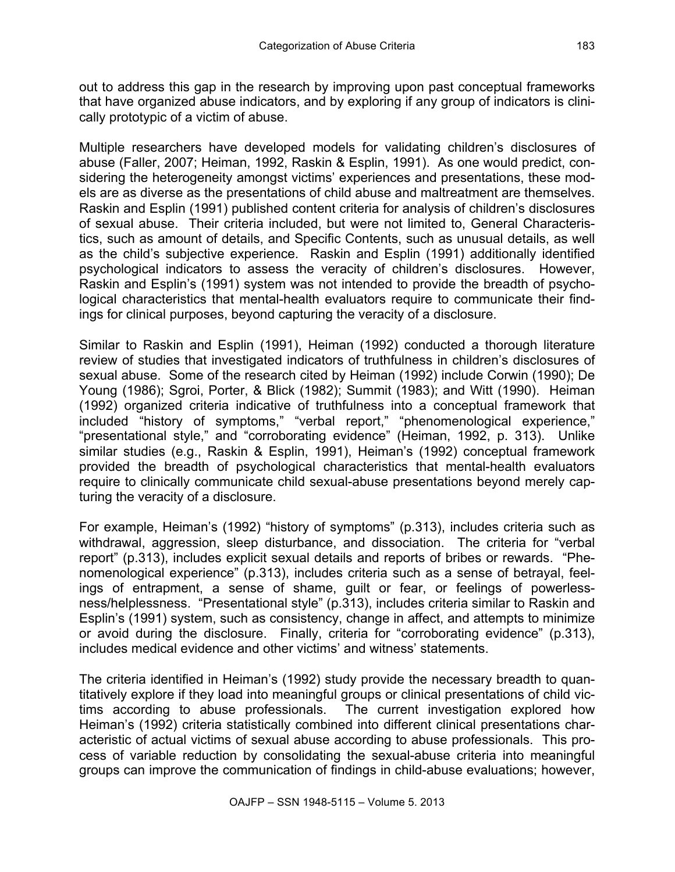out to address this gap in the research by improving upon past conceptual frameworks that have organized abuse indicators, and by exploring if any group of indicators is clinically prototypic of a victim of abuse.

Multiple researchers have developed models for validating children's disclosures of abuse (Faller, 2007; Heiman, 1992, Raskin & Esplin, 1991). As one would predict, considering the heterogeneity amongst victims' experiences and presentations, these models are as diverse as the presentations of child abuse and maltreatment are themselves. Raskin and Esplin (1991) published content criteria for analysis of children's disclosures of sexual abuse. Their criteria included, but were not limited to, General Characteristics, such as amount of details, and Specific Contents, such as unusual details, as well as the child's subjective experience. Raskin and Esplin (1991) additionally identified psychological indicators to assess the veracity of children's disclosures. However, Raskin and Esplin's (1991) system was not intended to provide the breadth of psychological characteristics that mental-health evaluators require to communicate their findings for clinical purposes, beyond capturing the veracity of a disclosure.

Similar to Raskin and Esplin (1991), Heiman (1992) conducted a thorough literature review of studies that investigated indicators of truthfulness in children's disclosures of sexual abuse. Some of the research cited by Heiman (1992) include Corwin (1990); De Young (1986); Sgroi, Porter, & Blick (1982); Summit (1983); and Witt (1990). Heiman (1992) organized criteria indicative of truthfulness into a conceptual framework that included "history of symptoms," "verbal report," "phenomenological experience," "presentational style," and "corroborating evidence" (Heiman, 1992, p. 313). Unlike similar studies (e.g., Raskin & Esplin, 1991), Heiman's (1992) conceptual framework provided the breadth of psychological characteristics that mental-health evaluators require to clinically communicate child sexual-abuse presentations beyond merely capturing the veracity of a disclosure.

For example, Heiman's (1992) "history of symptoms" (p.313), includes criteria such as withdrawal, aggression, sleep disturbance, and dissociation. The criteria for "verbal report" (p.313), includes explicit sexual details and reports of bribes or rewards. "Phenomenological experience" (p.313), includes criteria such as a sense of betrayal, feelings of entrapment, a sense of shame, guilt or fear, or feelings of powerlessness/helplessness. "Presentational style" (p.313), includes criteria similar to Raskin and Esplin's (1991) system, such as consistency, change in affect, and attempts to minimize or avoid during the disclosure. Finally, criteria for "corroborating evidence" (p.313), includes medical evidence and other victims' and witness' statements.

The criteria identified in Heiman's (1992) study provide the necessary breadth to quantitatively explore if they load into meaningful groups or clinical presentations of child victims according to abuse professionals. The current investigation explored how Heiman's (1992) criteria statistically combined into different clinical presentations characteristic of actual victims of sexual abuse according to abuse professionals. This process of variable reduction by consolidating the sexual-abuse criteria into meaningful groups can improve the communication of findings in child-abuse evaluations; however,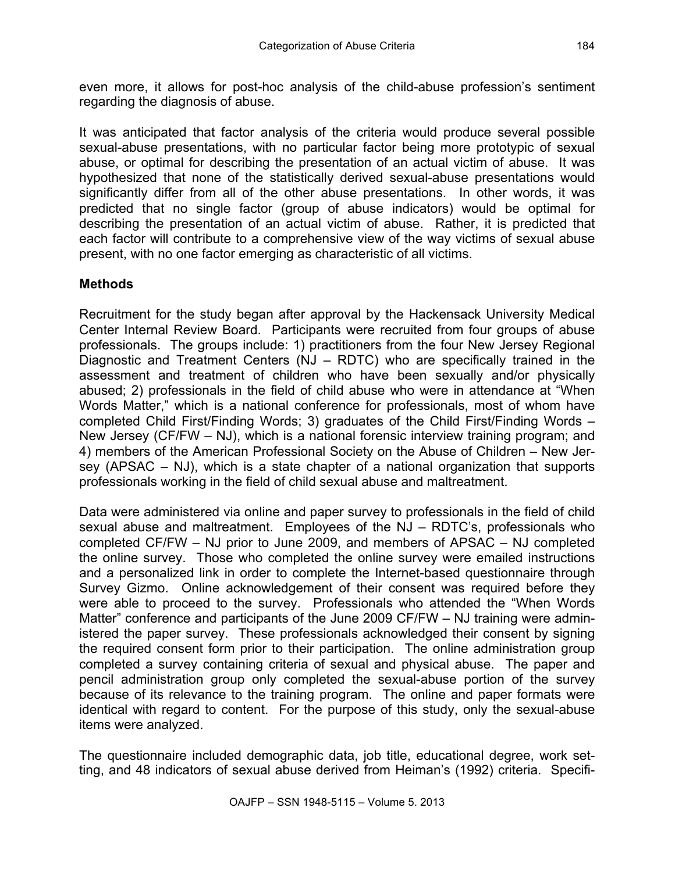It was anticipated that factor analysis of the criteria would produce several possible sexual-abuse presentations, with no particular factor being more prototypic of sexual abuse, or optimal for describing the presentation of an actual victim of abuse. It was hypothesized that none of the statistically derived sexual-abuse presentations would significantly differ from all of the other abuse presentations. In other words, it was predicted that no single factor (group of abuse indicators) would be optimal for describing the presentation of an actual victim of abuse. Rather, it is predicted that each factor will contribute to a comprehensive view of the way victims of sexual abuse present, with no one factor emerging as characteristic of all victims.

# **Methods**

Recruitment for the study began after approval by the Hackensack University Medical Center Internal Review Board. Participants were recruited from four groups of abuse professionals. The groups include: 1) practitioners from the four New Jersey Regional Diagnostic and Treatment Centers (NJ – RDTC) who are specifically trained in the assessment and treatment of children who have been sexually and/or physically abused; 2) professionals in the field of child abuse who were in attendance at "When Words Matter," which is a national conference for professionals, most of whom have completed Child First/Finding Words; 3) graduates of the Child First/Finding Words – New Jersey (CF/FW – NJ), which is a national forensic interview training program; and 4) members of the American Professional Society on the Abuse of Children – New Jersey (APSAC – NJ), which is a state chapter of a national organization that supports professionals working in the field of child sexual abuse and maltreatment.

Data were administered via online and paper survey to professionals in the field of child sexual abuse and maltreatment. Employees of the NJ – RDTC's, professionals who completed CF/FW – NJ prior to June 2009, and members of APSAC – NJ completed the online survey. Those who completed the online survey were emailed instructions and a personalized link in order to complete the Internet-based questionnaire through Survey Gizmo. Online acknowledgement of their consent was required before they were able to proceed to the survey. Professionals who attended the "When Words Matter" conference and participants of the June 2009 CF/FW – NJ training were administered the paper survey. These professionals acknowledged their consent by signing the required consent form prior to their participation. The online administration group completed a survey containing criteria of sexual and physical abuse. The paper and pencil administration group only completed the sexual-abuse portion of the survey because of its relevance to the training program. The online and paper formats were identical with regard to content. For the purpose of this study, only the sexual-abuse items were analyzed.

The questionnaire included demographic data, job title, educational degree, work setting, and 48 indicators of sexual abuse derived from Heiman's (1992) criteria. Specifi-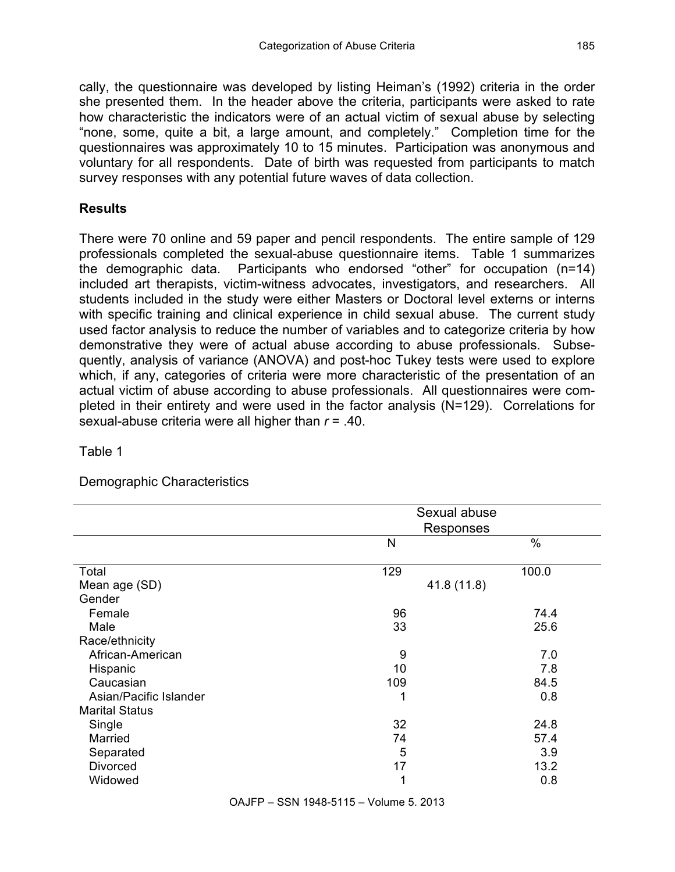cally, the questionnaire was developed by listing Heiman's (1992) criteria in the order she presented them. In the header above the criteria, participants were asked to rate how characteristic the indicators were of an actual victim of sexual abuse by selecting "none, some, quite a bit, a large amount, and completely." Completion time for the questionnaires was approximately 10 to 15 minutes. Participation was anonymous and voluntary for all respondents. Date of birth was requested from participants to match survey responses with any potential future waves of data collection.

## **Results**

There were 70 online and 59 paper and pencil respondents. The entire sample of 129 professionals completed the sexual-abuse questionnaire items. Table 1 summarizes the demographic data. Participants who endorsed "other" for occupation (n=14) included art therapists, victim-witness advocates, investigators, and researchers. All students included in the study were either Masters or Doctoral level externs or interns with specific training and clinical experience in child sexual abuse. The current study used factor analysis to reduce the number of variables and to categorize criteria by how demonstrative they were of actual abuse according to abuse professionals. Subsequently, analysis of variance (ANOVA) and post-hoc Tukey tests were used to explore which, if any, categories of criteria were more characteristic of the presentation of an actual victim of abuse according to abuse professionals. All questionnaires were completed in their entirety and were used in the factor analysis (N=129). Correlations for sexual-abuse criteria were all higher than *r* = .40.

## Table 1

## Demographic Characteristics

|                        | Sexual abuse<br>Responses |       |  |  |  |
|------------------------|---------------------------|-------|--|--|--|
|                        | N                         | $\%$  |  |  |  |
| Total                  | 129                       | 100.0 |  |  |  |
| Mean age (SD)          | 41.8 (11.8)               |       |  |  |  |
| Gender                 |                           |       |  |  |  |
| Female                 | 96                        | 74.4  |  |  |  |
| Male                   | 33                        | 25.6  |  |  |  |
| Race/ethnicity         |                           |       |  |  |  |
| African-American       | 9                         | 7.0   |  |  |  |
| Hispanic               | 10                        | 7.8   |  |  |  |
| Caucasian              | 109                       | 84.5  |  |  |  |
| Asian/Pacific Islander | 1                         | 0.8   |  |  |  |
| <b>Marital Status</b>  |                           |       |  |  |  |
| Single                 | 32                        | 24.8  |  |  |  |
| Married                | 74                        | 57.4  |  |  |  |
| Separated              | 5                         | 3.9   |  |  |  |
| <b>Divorced</b>        | 17                        | 13.2  |  |  |  |
| Widowed                | 1                         | 0.8   |  |  |  |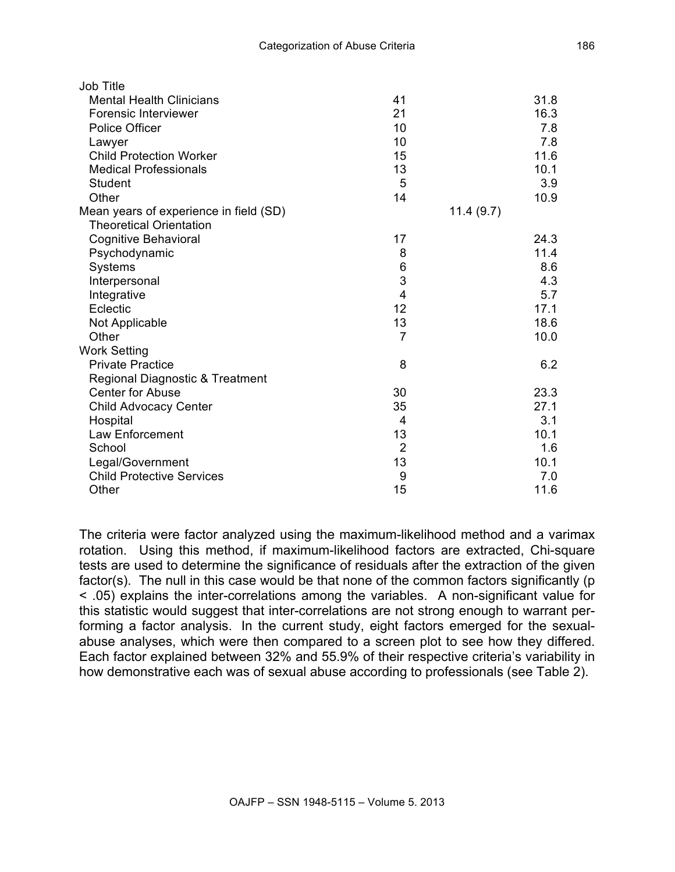| Job Title                              |                |           |
|----------------------------------------|----------------|-----------|
| <b>Mental Health Clinicians</b>        | 41             | 31.8      |
| <b>Forensic Interviewer</b>            | 21             | 16.3      |
| Police Officer                         | 10             | 7.8       |
| Lawyer                                 | 10             | 7.8       |
| <b>Child Protection Worker</b>         | 15             | 11.6      |
| <b>Medical Professionals</b>           | 13             | 10.1      |
| <b>Student</b>                         | 5              | 3.9       |
| Other                                  | 14             | 10.9      |
| Mean years of experience in field (SD) |                | 11.4(9.7) |
| <b>Theoretical Orientation</b>         |                |           |
| <b>Cognitive Behavioral</b>            | 17             | 24.3      |
| Psychodynamic                          | 8              | 11.4      |
| <b>Systems</b>                         | 6              | 8.6       |
| Interpersonal                          | 3              | 4.3       |
| Integrative                            | $\overline{4}$ | 5.7       |
| Eclectic                               | 12             | 17.1      |
| Not Applicable                         | 13             | 18.6      |
| Other                                  | $\overline{7}$ | 10.0      |
| <b>Work Setting</b>                    |                |           |
| <b>Private Practice</b>                | 8              | 6.2       |
| Regional Diagnostic & Treatment        |                |           |
| <b>Center for Abuse</b>                | 30             | 23.3      |
| <b>Child Advocacy Center</b>           | 35             | 27.1      |
| Hospital                               | 4              | 3.1       |
| Law Enforcement                        | 13             | 10.1      |
| School                                 | $\overline{2}$ | 1.6       |
| Legal/Government                       | 13             | 10.1      |
| <b>Child Protective Services</b>       | 9              | 7.0       |
| Other                                  | 15             | 11.6      |

The criteria were factor analyzed using the maximum-likelihood method and a varimax rotation. Using this method, if maximum-likelihood factors are extracted, Chi-square tests are used to determine the significance of residuals after the extraction of the given factor(s). The null in this case would be that none of the common factors significantly (p < .05) explains the inter-correlations among the variables. A non-significant value for this statistic would suggest that inter-correlations are not strong enough to warrant performing a factor analysis. In the current study, eight factors emerged for the sexualabuse analyses, which were then compared to a screen plot to see how they differed. Each factor explained between 32% and 55.9% of their respective criteria's variability in how demonstrative each was of sexual abuse according to professionals (see Table 2).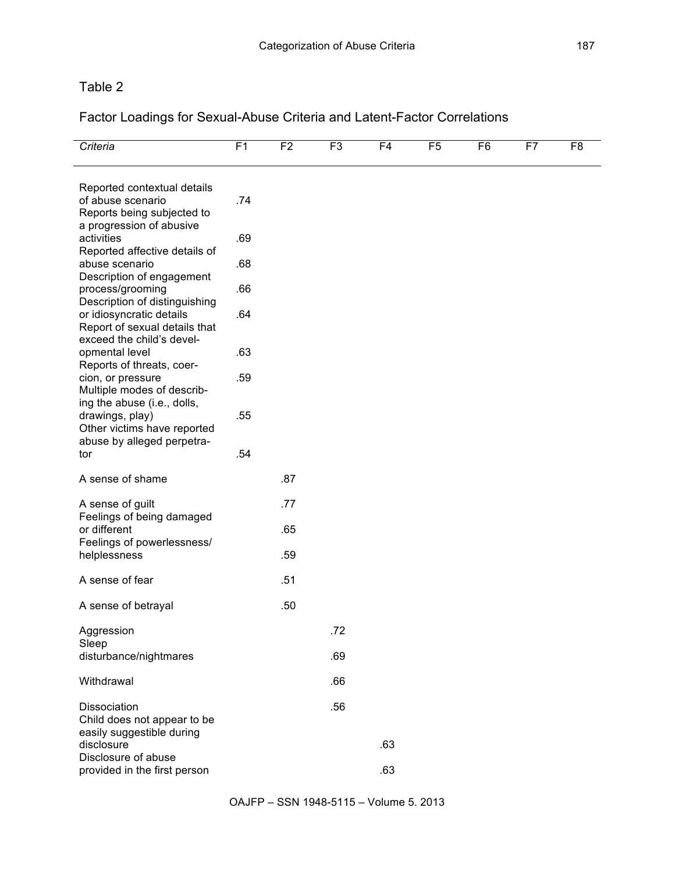# Table 2

Factor Loadings for Sexual-Abuse Criteria and Latent-Factor Correlations

| Criteria                                                                                                    | F <sub>1</sub> | F <sub>2</sub> | F3  | F <sub>4</sub> | F5 | F <sub>6</sub> | F7 | F8 |
|-------------------------------------------------------------------------------------------------------------|----------------|----------------|-----|----------------|----|----------------|----|----|
| Reported contextual details<br>of abuse scenario<br>Reports being subjected to                              | .74            |                |     |                |    |                |    |    |
| a progression of abusive<br>activities<br>Reported affective details of                                     | .69            |                |     |                |    |                |    |    |
| abuse scenario                                                                                              | .68            |                |     |                |    |                |    |    |
| Description of engagement<br>process/grooming<br>Description of distinguishing                              | .66            |                |     |                |    |                |    |    |
| or idiosyncratic details<br>Report of sexual details that<br>exceed the child's devel-                      | .64            |                |     |                |    |                |    |    |
| opmental level<br>Reports of threats, coer-                                                                 | .63            |                |     |                |    |                |    |    |
| cion, or pressure<br>Multiple modes of describ-                                                             | .59            |                |     |                |    |                |    |    |
| ing the abuse (i.e., dolls,<br>drawings, play)<br>Other victims have reported<br>abuse by alleged perpetra- | .55            |                |     |                |    |                |    |    |
| tor                                                                                                         | .54            |                |     |                |    |                |    |    |
| A sense of shame                                                                                            |                | .87            |     |                |    |                |    |    |
| A sense of guilt                                                                                            |                | .77            |     |                |    |                |    |    |
| Feelings of being damaged<br>or different                                                                   |                | .65            |     |                |    |                |    |    |
| Feelings of powerlessness/<br>helplessness                                                                  |                | .59            |     |                |    |                |    |    |
| A sense of fear                                                                                             |                | .51            |     |                |    |                |    |    |
| A sense of betrayal                                                                                         |                | .50            |     |                |    |                |    |    |
| Aggression                                                                                                  |                |                | .72 |                |    |                |    |    |
| Sleep<br>disturbance/nightmares                                                                             |                |                | .69 |                |    |                |    |    |
| Withdrawal                                                                                                  |                |                | .66 |                |    |                |    |    |
| Dissociation<br>Child does not appear to be                                                                 |                |                | .56 |                |    |                |    |    |
| easily suggestible during<br>disclosure<br>Disclosure of abuse                                              |                |                |     | .63            |    |                |    |    |
| provided in the first person                                                                                |                |                |     | .63            |    |                |    |    |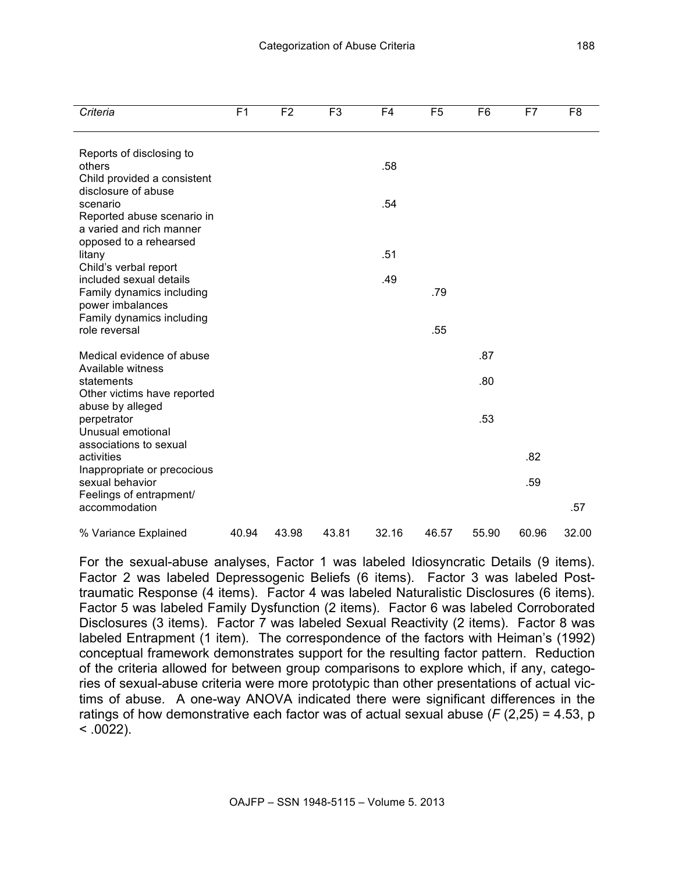| Criteria                                                                  | F <sub>1</sub> | F <sub>2</sub> | F <sub>3</sub> | F <sub>4</sub> | F <sub>5</sub> | F <sub>6</sub> | F7    | F <sub>8</sub> |
|---------------------------------------------------------------------------|----------------|----------------|----------------|----------------|----------------|----------------|-------|----------------|
| Reports of disclosing to<br>others                                        |                |                |                | .58            |                |                |       |                |
| Child provided a consistent<br>disclosure of abuse<br>scenario            |                |                |                | .54            |                |                |       |                |
| Reported abuse scenario in<br>a varied and rich manner                    |                |                |                |                |                |                |       |                |
| opposed to a rehearsed<br>litany<br>Child's verbal report                 |                |                |                | .51            |                |                |       |                |
| included sexual details<br>Family dynamics including                      |                |                |                | .49            | .79            |                |       |                |
| power imbalances<br>Family dynamics including<br>role reversal            |                |                |                |                | .55            |                |       |                |
| Medical evidence of abuse<br>Available witness                            |                |                |                |                |                | .87            |       |                |
| statements<br>Other victims have reported                                 |                |                |                |                |                | .80            |       |                |
| abuse by alleged<br>perpetrator<br>Unusual emotional                      |                |                |                |                |                | .53            |       |                |
| associations to sexual<br>activities                                      |                |                |                |                |                |                | .82   |                |
| Inappropriate or precocious<br>sexual behavior<br>Feelings of entrapment/ |                |                |                |                |                |                | .59   |                |
| accommodation                                                             |                |                |                |                |                |                |       | .57            |
| % Variance Explained                                                      | 40.94          | 43.98          | 43.81          | 32.16          | 46.57          | 55.90          | 60.96 | 32.00          |

For the sexual-abuse analyses, Factor 1 was labeled Idiosyncratic Details (9 items). Factor 2 was labeled Depressogenic Beliefs (6 items). Factor 3 was labeled Posttraumatic Response (4 items). Factor 4 was labeled Naturalistic Disclosures (6 items). Factor 5 was labeled Family Dysfunction (2 items). Factor 6 was labeled Corroborated Disclosures (3 items). Factor 7 was labeled Sexual Reactivity (2 items). Factor 8 was labeled Entrapment (1 item). The correspondence of the factors with Heiman's (1992) conceptual framework demonstrates support for the resulting factor pattern. Reduction of the criteria allowed for between group comparisons to explore which, if any, categories of sexual-abuse criteria were more prototypic than other presentations of actual victims of abuse. A one-way ANOVA indicated there were significant differences in the ratings of how demonstrative each factor was of actual sexual abuse (*F* (2,25) = 4.53, p  $< 0.0022$ ).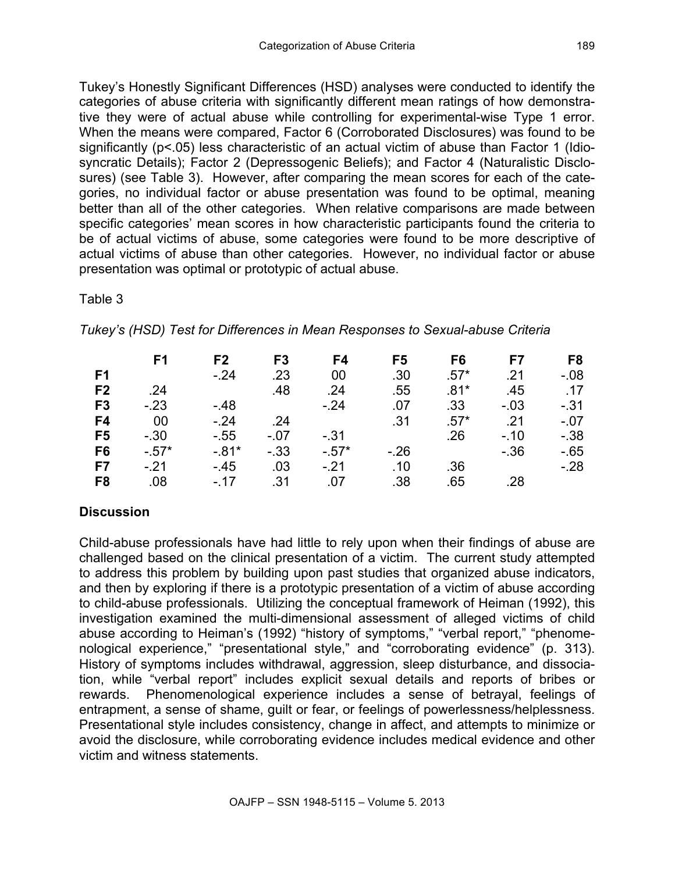Tukey's Honestly Significant Differences (HSD) analyses were conducted to identify the categories of abuse criteria with significantly different mean ratings of how demonstrative they were of actual abuse while controlling for experimental-wise Type 1 error. When the means were compared, Factor 6 (Corroborated Disclosures) was found to be significantly (p<.05) less characteristic of an actual victim of abuse than Factor 1 (Idiosyncratic Details); Factor 2 (Depressogenic Beliefs); and Factor 4 (Naturalistic Disclosures) (see Table 3). However, after comparing the mean scores for each of the categories, no individual factor or abuse presentation was found to be optimal, meaning better than all of the other categories. When relative comparisons are made between specific categories' mean scores in how characteristic participants found the criteria to be of actual victims of abuse, some categories were found to be more descriptive of actual victims of abuse than other categories. However, no individual factor or abuse presentation was optimal or prototypic of actual abuse.

#### Table 3

*Tukey's (HSD) Test for Differences in Mean Responses to Sexual-abuse Criteria*

|                | F <sub>1</sub> | F <sub>2</sub> | F <sub>3</sub> | F4      | F5               | F6               | F7      | F <sub>8</sub> |
|----------------|----------------|----------------|----------------|---------|------------------|------------------|---------|----------------|
| F <sub>1</sub> |                | $-24$          | .23            | 00      | .30 <sub>1</sub> | $.57^*$          | .21     | $-08$          |
| F <sub>2</sub> | .24            |                | .48            | .24     | .55              | $.81*$           | .45     | .17            |
| F <sub>3</sub> | $-23$          | $-48$          |                | $-24$   | .07              | .33 <sub>1</sub> | $-0.03$ | $-31$          |
| F4             | 00             | $-.24$         | .24            |         | .31              | $.57*$           | .21     | $-.07$         |
| F <sub>5</sub> | $-.30$         | $-55$          | $-.07$         | $-.31$  |                  | .26              | $-.10$  | $-0.38$        |
| F <sub>6</sub> | $-.57*$        | $-0.81*$       | $-0.33$        | $-.57*$ | $-26$            |                  | $-36$   | $-65$          |
| F7             | $-.21$         | - 45           | .03            | $-.21$  | .10              | .36              |         | $-.28$         |
| F <sub>8</sub> | .08            | $-17$          | .31            | .07     | .38              | .65              | .28     |                |

# **Discussion**

Child-abuse professionals have had little to rely upon when their findings of abuse are challenged based on the clinical presentation of a victim. The current study attempted to address this problem by building upon past studies that organized abuse indicators, and then by exploring if there is a prototypic presentation of a victim of abuse according to child-abuse professionals. Utilizing the conceptual framework of Heiman (1992), this investigation examined the multi-dimensional assessment of alleged victims of child abuse according to Heiman's (1992) "history of symptoms," "verbal report," "phenomenological experience," "presentational style," and "corroborating evidence" (p. 313). History of symptoms includes withdrawal, aggression, sleep disturbance, and dissociation, while "verbal report" includes explicit sexual details and reports of bribes or rewards. Phenomenological experience includes a sense of betrayal, feelings of entrapment, a sense of shame, guilt or fear, or feelings of powerlessness/helplessness. Presentational style includes consistency, change in affect, and attempts to minimize or avoid the disclosure, while corroborating evidence includes medical evidence and other victim and witness statements.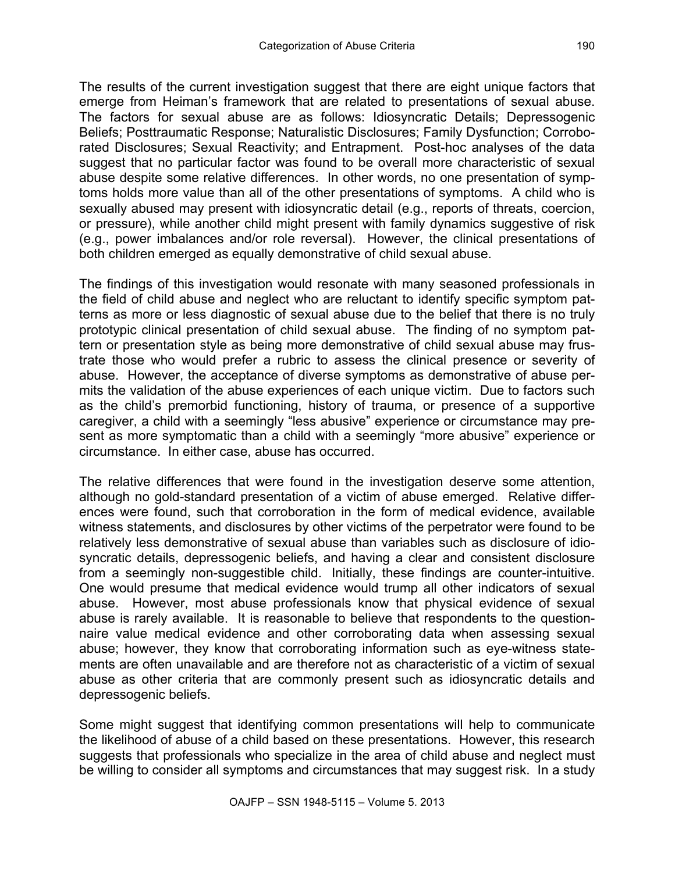The results of the current investigation suggest that there are eight unique factors that emerge from Heiman's framework that are related to presentations of sexual abuse. The factors for sexual abuse are as follows: Idiosyncratic Details; Depressogenic Beliefs; Posttraumatic Response; Naturalistic Disclosures; Family Dysfunction; Corroborated Disclosures; Sexual Reactivity; and Entrapment. Post-hoc analyses of the data suggest that no particular factor was found to be overall more characteristic of sexual abuse despite some relative differences. In other words, no one presentation of symptoms holds more value than all of the other presentations of symptoms. A child who is sexually abused may present with idiosyncratic detail (e.g., reports of threats, coercion, or pressure), while another child might present with family dynamics suggestive of risk (e.g., power imbalances and/or role reversal). However, the clinical presentations of both children emerged as equally demonstrative of child sexual abuse.

The findings of this investigation would resonate with many seasoned professionals in the field of child abuse and neglect who are reluctant to identify specific symptom patterns as more or less diagnostic of sexual abuse due to the belief that there is no truly prototypic clinical presentation of child sexual abuse. The finding of no symptom pattern or presentation style as being more demonstrative of child sexual abuse may frustrate those who would prefer a rubric to assess the clinical presence or severity of abuse. However, the acceptance of diverse symptoms as demonstrative of abuse permits the validation of the abuse experiences of each unique victim. Due to factors such as the child's premorbid functioning, history of trauma, or presence of a supportive caregiver, a child with a seemingly "less abusive" experience or circumstance may present as more symptomatic than a child with a seemingly "more abusive" experience or circumstance. In either case, abuse has occurred.

The relative differences that were found in the investigation deserve some attention, although no gold-standard presentation of a victim of abuse emerged. Relative differences were found, such that corroboration in the form of medical evidence, available witness statements, and disclosures by other victims of the perpetrator were found to be relatively less demonstrative of sexual abuse than variables such as disclosure of idiosyncratic details, depressogenic beliefs, and having a clear and consistent disclosure from a seemingly non-suggestible child. Initially, these findings are counter-intuitive. One would presume that medical evidence would trump all other indicators of sexual abuse. However, most abuse professionals know that physical evidence of sexual abuse is rarely available. It is reasonable to believe that respondents to the questionnaire value medical evidence and other corroborating data when assessing sexual abuse; however, they know that corroborating information such as eye-witness statements are often unavailable and are therefore not as characteristic of a victim of sexual abuse as other criteria that are commonly present such as idiosyncratic details and depressogenic beliefs.

Some might suggest that identifying common presentations will help to communicate the likelihood of abuse of a child based on these presentations. However, this research suggests that professionals who specialize in the area of child abuse and neglect must be willing to consider all symptoms and circumstances that may suggest risk. In a study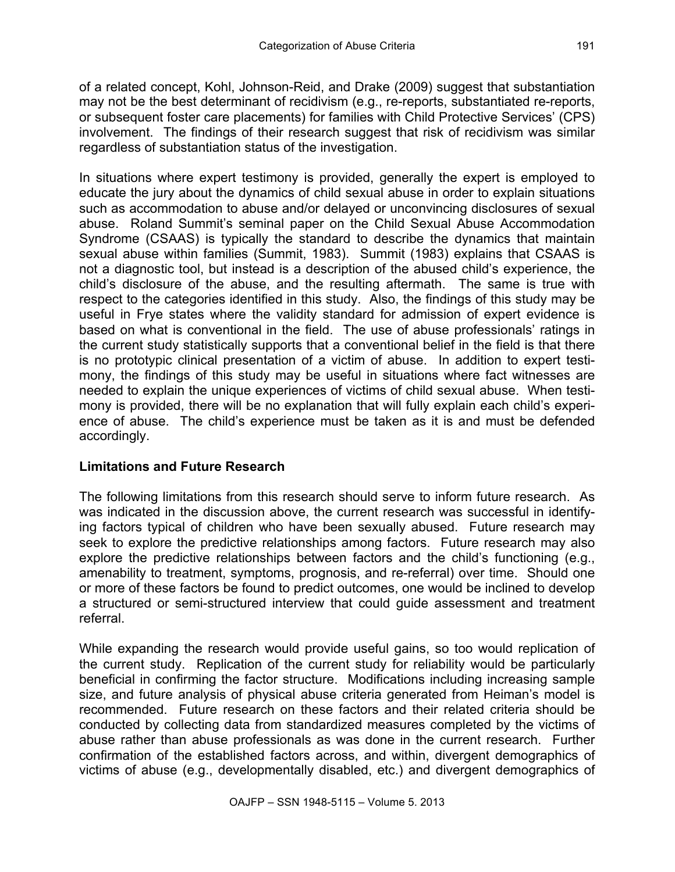of a related concept, Kohl, Johnson-Reid, and Drake (2009) suggest that substantiation may not be the best determinant of recidivism (e.g., re-reports, substantiated re-reports, or subsequent foster care placements) for families with Child Protective Services' (CPS) involvement. The findings of their research suggest that risk of recidivism was similar regardless of substantiation status of the investigation.

In situations where expert testimony is provided, generally the expert is employed to educate the jury about the dynamics of child sexual abuse in order to explain situations such as accommodation to abuse and/or delayed or unconvincing disclosures of sexual abuse. Roland Summit's seminal paper on the Child Sexual Abuse Accommodation Syndrome (CSAAS) is typically the standard to describe the dynamics that maintain sexual abuse within families (Summit, 1983). Summit (1983) explains that CSAAS is not a diagnostic tool, but instead is a description of the abused child's experience, the child's disclosure of the abuse, and the resulting aftermath. The same is true with respect to the categories identified in this study. Also, the findings of this study may be useful in Frye states where the validity standard for admission of expert evidence is based on what is conventional in the field. The use of abuse professionals' ratings in the current study statistically supports that a conventional belief in the field is that there is no prototypic clinical presentation of a victim of abuse. In addition to expert testimony, the findings of this study may be useful in situations where fact witnesses are needed to explain the unique experiences of victims of child sexual abuse. When testimony is provided, there will be no explanation that will fully explain each child's experience of abuse. The child's experience must be taken as it is and must be defended accordingly.

# **Limitations and Future Research**

The following limitations from this research should serve to inform future research. As was indicated in the discussion above, the current research was successful in identifying factors typical of children who have been sexually abused. Future research may seek to explore the predictive relationships among factors. Future research may also explore the predictive relationships between factors and the child's functioning (e.g., amenability to treatment, symptoms, prognosis, and re-referral) over time. Should one or more of these factors be found to predict outcomes, one would be inclined to develop a structured or semi-structured interview that could guide assessment and treatment referral.

While expanding the research would provide useful gains, so too would replication of the current study. Replication of the current study for reliability would be particularly beneficial in confirming the factor structure. Modifications including increasing sample size, and future analysis of physical abuse criteria generated from Heiman's model is recommended. Future research on these factors and their related criteria should be conducted by collecting data from standardized measures completed by the victims of abuse rather than abuse professionals as was done in the current research. Further confirmation of the established factors across, and within, divergent demographics of victims of abuse (e.g., developmentally disabled, etc.) and divergent demographics of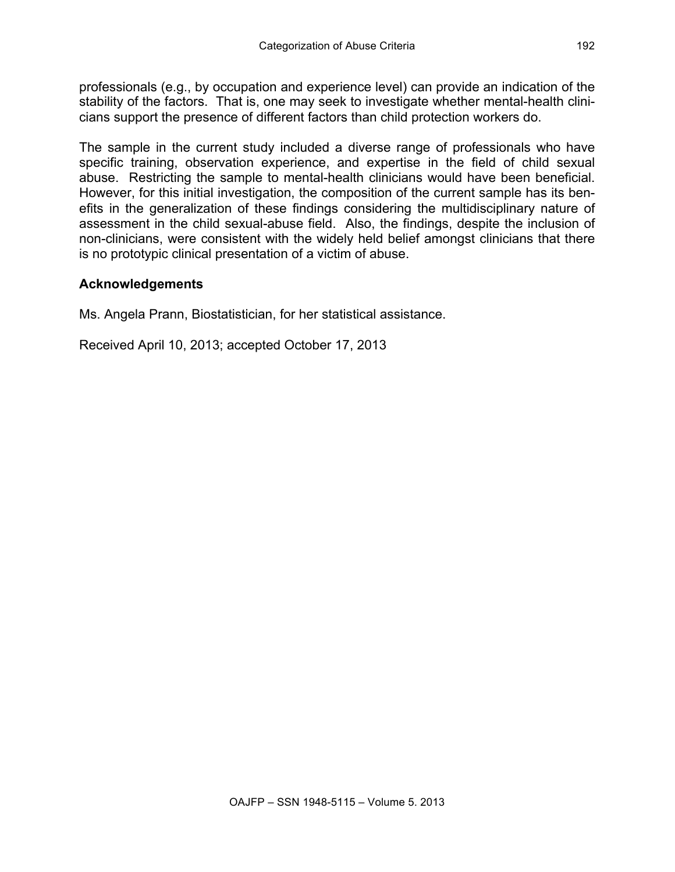professionals (e.g., by occupation and experience level) can provide an indication of the stability of the factors. That is, one may seek to investigate whether mental-health clinicians support the presence of different factors than child protection workers do.

The sample in the current study included a diverse range of professionals who have specific training, observation experience, and expertise in the field of child sexual abuse. Restricting the sample to mental-health clinicians would have been beneficial. However, for this initial investigation, the composition of the current sample has its benefits in the generalization of these findings considering the multidisciplinary nature of assessment in the child sexual-abuse field. Also, the findings, despite the inclusion of non-clinicians, were consistent with the widely held belief amongst clinicians that there is no prototypic clinical presentation of a victim of abuse.

## **Acknowledgements**

Ms. Angela Prann, Biostatistician, for her statistical assistance.

Received April 10, 2013; accepted October 17, 2013